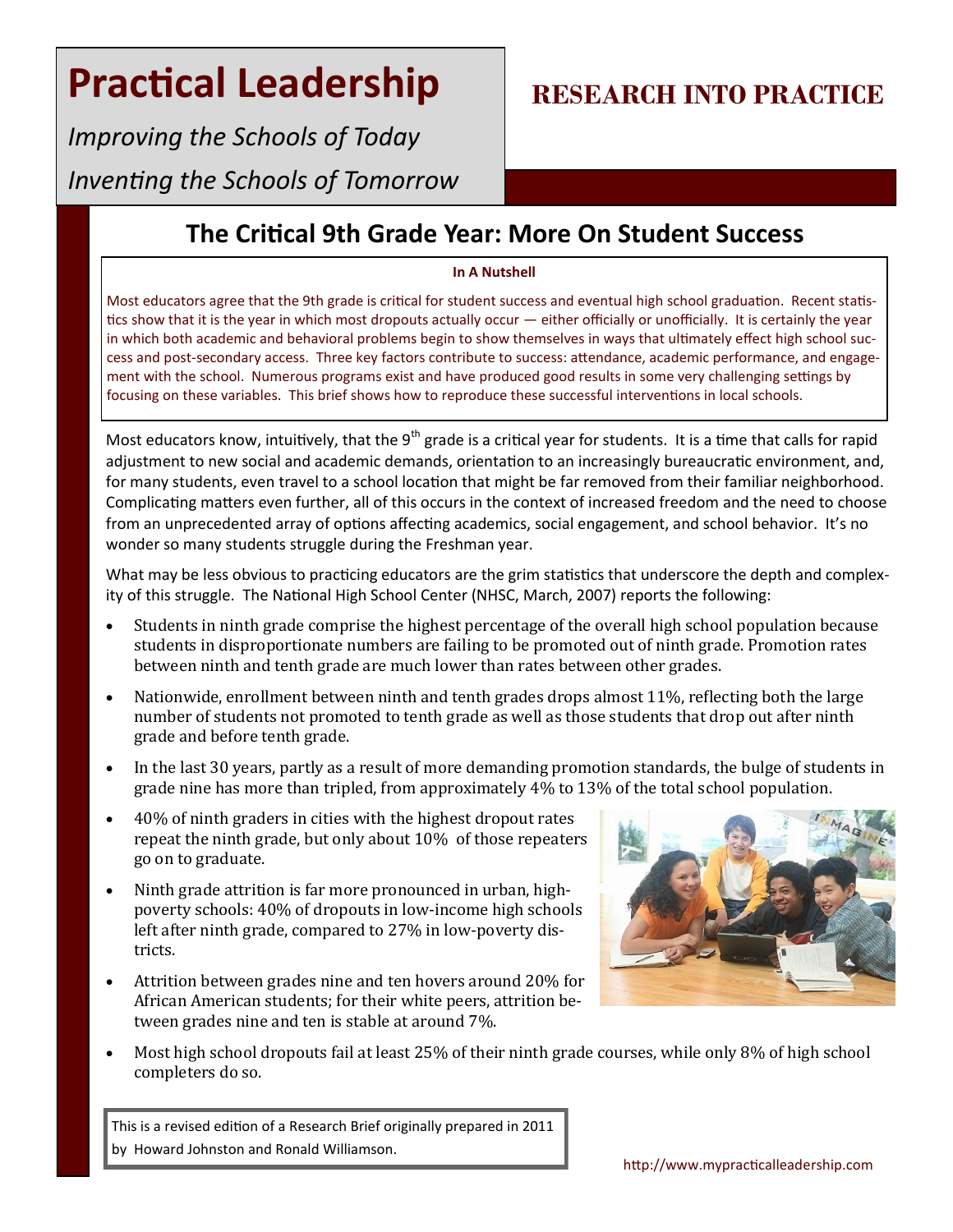*Improving the Schools of Today Inventing the Schools of Tomorrow*

### **RESEARCH INTO PRACTICE**

### **The Critical 9th Grade Year: More On Student Success**

#### **In A Nutshell**

Most educators agree that the 9th grade is critical for student success and eventual high school graduation. Recent statistics show that it is the year in which most dropouts actually occur — either officially or unofficially. It is certainly the year in which both academic and behavioral problems begin to show themselves in ways that ultimately effect high school success and post-secondary access. Three key factors contribute to success: attendance, academic performance, and engagement with the school. Numerous programs exist and have produced good results in some very challenging settings by focusing on these variables. This brief shows how to reproduce these successful interventions in local schools.

Most educators know, intuitively, that the 9<sup>th</sup> grade is a critical year for students. It is a time that calls for rapid adjustment to new social and academic demands, orientation to an increasingly bureaucratic environment, and, for many students, even travel to a school location that might be far removed from their familiar neighborhood. Complicating matters even further, all of this occurs in the context of increased freedom and the need to choose from an unprecedented array of options affecting academics, social engagement, and school behavior. It's no wonder so many students struggle during the Freshman year.

What may be less obvious to practicing educators are the grim statistics that underscore the depth and complexity of this struggle. The National High School Center (NHSC, March, 2007) reports the following:

- Students in ninth grade comprise the highest percentage of the overall high school population because students in disproportionate numbers are failing to be promoted out of ninth grade. Promotion rates between ninth and tenth grade are much lower than rates between other grades.
- Nationwide, enrollment between ninth and tenth grades drops almost 11%, reflecting both the large number of students not promoted to tenth grade as well as those students that drop out after ninth grade and before tenth grade.
- In the last 30 years, partly as a result of more demanding promotion standards, the bulge of students in grade nine has more than tripled, from approximately 4% to 13% of the total school population.
- 40% of ninth graders in cities with the highest dropout rates repeat the ninth grade, but only about 10% of those repeaters go on to graduate.
- Ninth grade attrition is far more pronounced in urban, highpoverty schools: 40% of dropouts in low-income high schools left after ninth grade, compared to 27% in low-poverty districts.
- Attrition between grades nine and ten hovers around 20% for African American students; for their white peers, attrition between grades nine and ten is stable at around 7%.



 Most high school dropouts fail at least 25% of their ninth grade courses, while only 8% of high school completers do so.

This is a revised edition of a Research Brief originally prepared in 2011 by Howard Johnston and Ronald Williamson.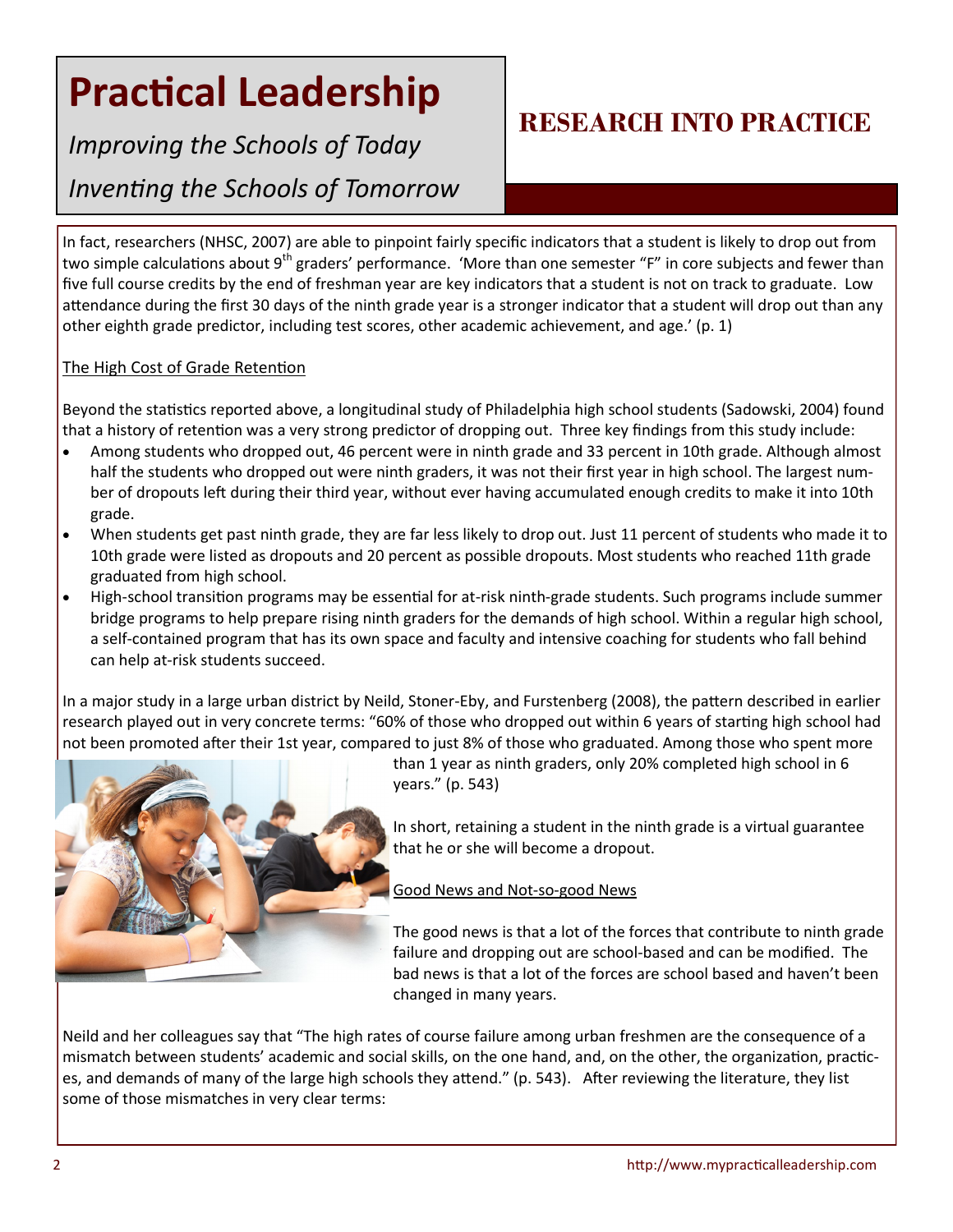*Improving the Schools of Today* 

*Inventing the Schools of Tomorrow*

### **RESEARCH INTO PRACTICE**

In fact, researchers (NHSC, 2007) are able to pinpoint fairly specific indicators that a student is likely to drop out from two simple calculations about 9<sup>th</sup> graders' performance. 'More than one semester "F" in core subjects and fewer than five full course credits by the end of freshman year are key indicators that a student is not on track to graduate. Low attendance during the first 30 days of the ninth grade year is a stronger indicator that a student will drop out than any other eighth grade predictor, including test scores, other academic achievement, and age.' (p. 1)

#### The High Cost of Grade Retention

Beyond the statistics reported above, a longitudinal study of Philadelphia high school students (Sadowski, 2004) found that a history of retention was a very strong predictor of dropping out. Three key findings from this study include:

- Among students who dropped out, 46 percent were in ninth grade and 33 percent in 10th grade. Although almost half the students who dropped out were ninth graders, it was not their first year in high school. The largest number of dropouts left during their third year, without ever having accumulated enough credits to make it into 10th grade.
- When students get past ninth grade, they are far less likely to drop out. Just 11 percent of students who made it to 10th grade were listed as dropouts and 20 percent as possible dropouts. Most students who reached 11th grade graduated from high school.
- High-school transition programs may be essential for at-risk ninth-grade students. Such programs include summer bridge programs to help prepare rising ninth graders for the demands of high school. Within a regular high school, a self-contained program that has its own space and faculty and intensive coaching for students who fall behind can help at-risk students succeed.

In a major study in a large urban district by Neild, Stoner-Eby, and Furstenberg (2008), the pattern described in earlier research played out in very concrete terms: "60% of those who dropped out within 6 years of starting high school had not been promoted after their 1st year, compared to just 8% of those who graduated. Among those who spent more



than 1 year as ninth graders, only 20% completed high school in 6 years." (p. 543)

In short, retaining a student in the ninth grade is a virtual guarantee that he or she will become a dropout.

#### Good News and Not-so-good News

The good news is that a lot of the forces that contribute to ninth grade failure and dropping out are school-based and can be modified. The bad news is that a lot of the forces are school based and haven't been changed in many years.

Neild and her colleagues say that "The high rates of course failure among urban freshmen are the consequence of a mismatch between students' academic and social skills, on the one hand, and, on the other, the organization, practices, and demands of many of the large high schools they attend." (p. 543). After reviewing the literature, they list some of those mismatches in very clear terms: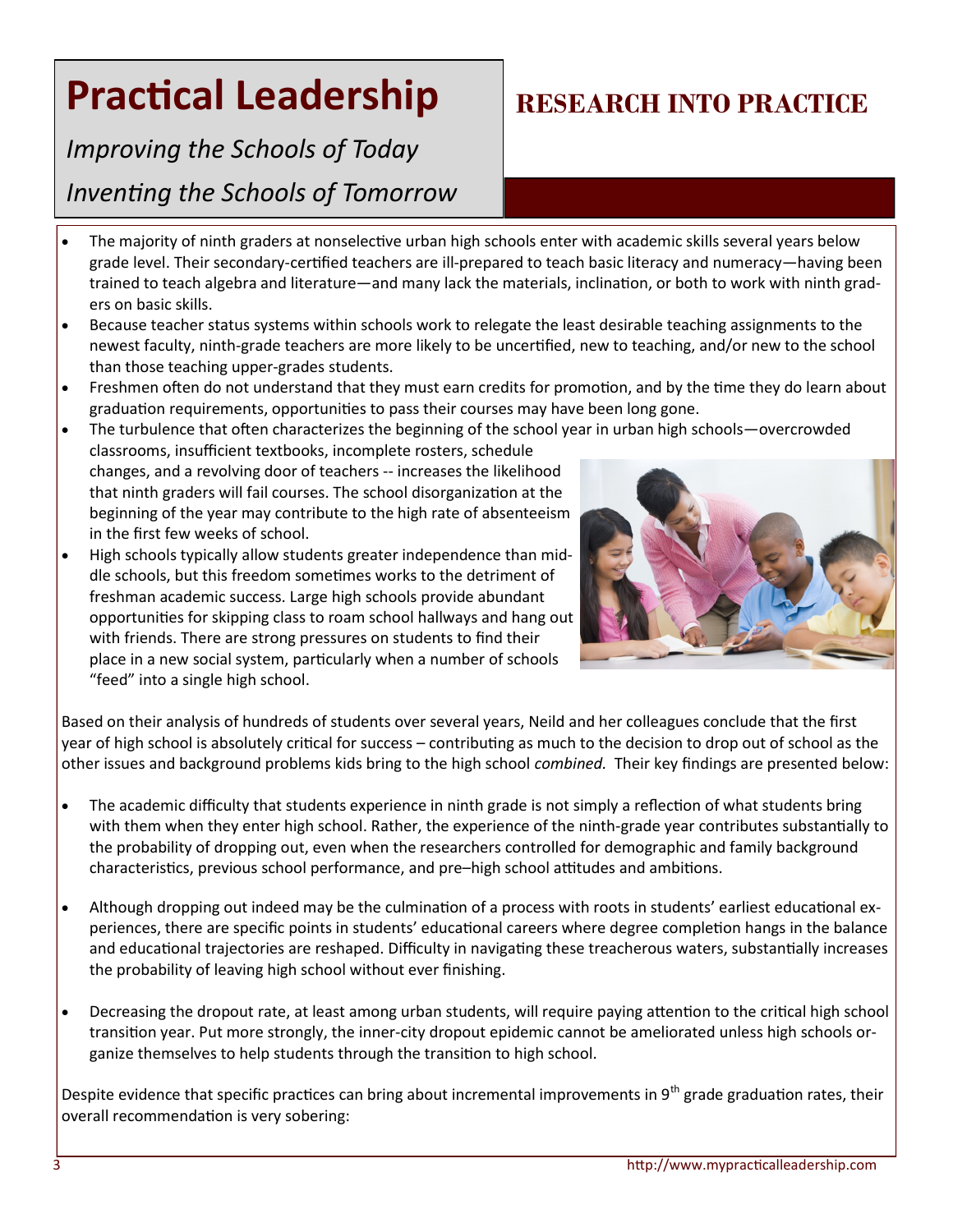## *Improving the Schools of Today*

### *Inventing the Schools of Tomorrow*

- The majority of ninth graders at nonselective urban high schools enter with academic skills several years below grade level. Their secondary-certified teachers are ill-prepared to teach basic literacy and numeracy—having been trained to teach algebra and literature—and many lack the materials, inclination, or both to work with ninth graders on basic skills.
- Because teacher status systems within schools work to relegate the least desirable teaching assignments to the newest faculty, ninth-grade teachers are more likely to be uncertified, new to teaching, and/or new to the school than those teaching upper-grades students.
- Freshmen often do not understand that they must earn credits for promotion, and by the time they do learn about graduation requirements, opportunities to pass their courses may have been long gone.
- The turbulence that often characterizes the beginning of the school year in urban high schools—overcrowded
- classrooms, insufficient textbooks, incomplete rosters, schedule changes, and a revolving door of teachers -- increases the likelihood that ninth graders will fail courses. The school disorganization at the beginning of the year may contribute to the high rate of absenteeism in the first few weeks of school.
- High schools typically allow students greater independence than middle schools, but this freedom sometimes works to the detriment of freshman academic success. Large high schools provide abundant opportunities for skipping class to roam school hallways and hang out with friends. There are strong pressures on students to find their place in a new social system, particularly when a number of schools "feed" into a single high school.



Based on their analysis of hundreds of students over several years, Neild and her colleagues conclude that the first year of high school is absolutely critical for success – contributing as much to the decision to drop out of school as the other issues and background problems kids bring to the high school *combined.* Their key findings are presented below:

- The academic difficulty that students experience in ninth grade is not simply a reflection of what students bring with them when they enter high school. Rather, the experience of the ninth-grade year contributes substantially to the probability of dropping out, even when the researchers controlled for demographic and family background characteristics, previous school performance, and pre–high school attitudes and ambitions.
- Although dropping out indeed may be the culmination of a process with roots in students' earliest educational experiences, there are specific points in students' educational careers where degree completion hangs in the balance and educational trajectories are reshaped. Difficulty in navigating these treacherous waters, substantially increases the probability of leaving high school without ever finishing.
- Decreasing the dropout rate, at least among urban students, will require paying attention to the critical high school transition year. Put more strongly, the inner-city dropout epidemic cannot be ameliorated unless high schools organize themselves to help students through the transition to high school.

Despite evidence that specific practices can bring about incremental improvements in  $9^{th}$  grade graduation rates, their overall recommendation is very sobering:

## **RESEARCH INTO PRACTICE**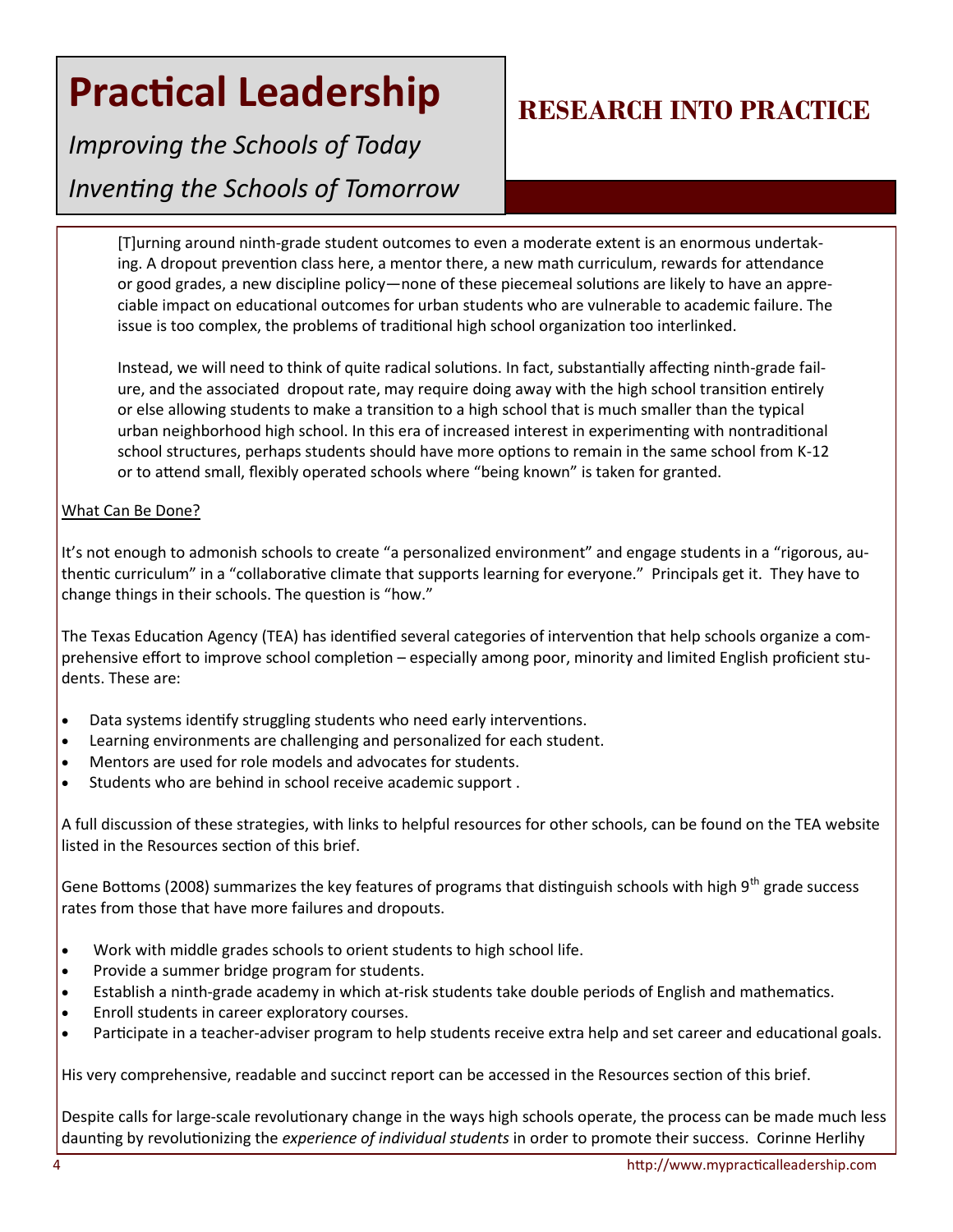*Improving the Schools of Today Inventing the Schools of Tomorrow*

## **RESEARCH INTO PRACTICE**

[T]urning around ninth-grade student outcomes to even a moderate extent is an enormous undertaking. A dropout prevention class here, a mentor there, a new math curriculum, rewards for attendance or good grades, a new discipline policy—none of these piecemeal solutions are likely to have an appreciable impact on educational outcomes for urban students who are vulnerable to academic failure. The issue is too complex, the problems of traditional high school organization too interlinked.

Instead, we will need to think of quite radical solutions. In fact, substantially affecting ninth-grade failure, and the associated dropout rate, may require doing away with the high school transition entirely or else allowing students to make a transition to a high school that is much smaller than the typical urban neighborhood high school. In this era of increased interest in experimenting with nontraditional school structures, perhaps students should have more options to remain in the same school from K-12 or to attend small, flexibly operated schools where "being known" is taken for granted.

#### What Can Be Done?

It's not enough to admonish schools to create "a personalized environment" and engage students in a "rigorous, authentic curriculum" in a "collaborative climate that supports learning for everyone." Principals get it. They have to change things in their schools. The question is "how."

The Texas Education Agency (TEA) has identified several categories of intervention that help schools organize a comprehensive effort to improve school completion – especially among poor, minority and limited English proficient students. These are:

- Data systems identify struggling students who need early interventions.
- Learning environments are challenging and personalized for each student.
- Mentors are used for role models and advocates for students.
- Students who are behind in school receive academic support .

A full discussion of these strategies, with links to helpful resources for other schools, can be found on the TEA website listed in the Resources section of this brief.

Gene Bottoms (2008) summarizes the key features of programs that distinguish schools with high 9<sup>th</sup> grade success rates from those that have more failures and dropouts.

- Work with middle grades schools to orient students to high school life.
- Provide a summer bridge program for students.
- Establish a ninth-grade academy in which at-risk students take double periods of English and mathematics.
- Enroll students in career exploratory courses.
- Participate in a teacher-adviser program to help students receive extra help and set career and educational goals.

His very comprehensive, readable and succinct report can be accessed in the Resources section of this brief.

Despite calls for large-scale revolutionary change in the ways high schools operate, the process can be made much less daunting by revolutionizing the *experience of individual students* in order to promote their success. Corinne Herlihy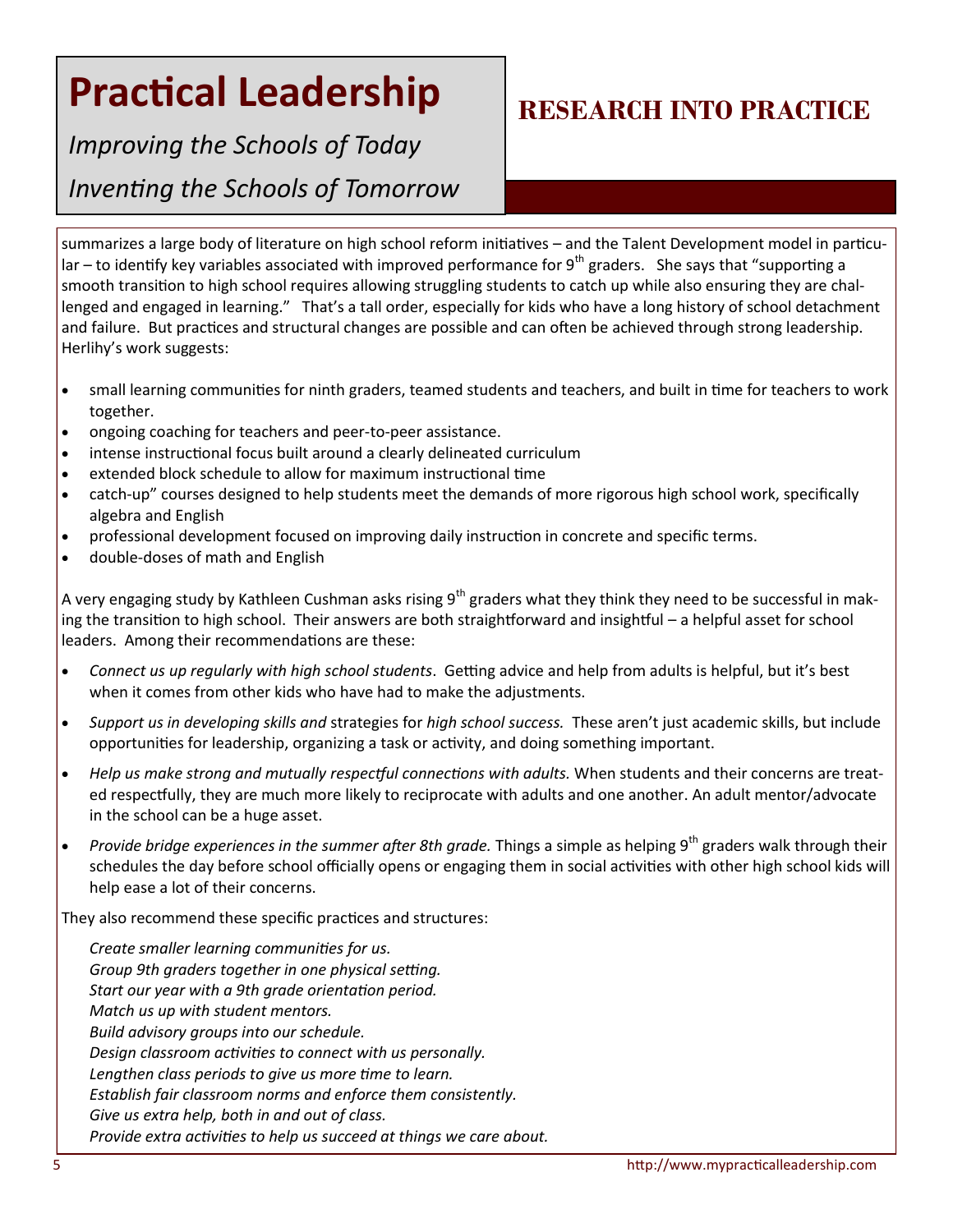# *Improving the Schools of Today*

*Inventing the Schools of Tomorrow*

## **RESEARCH INTO PRACTICE**

summarizes a large body of literature on high school reform initiatives – and the Talent Development model in particular – to identify key variables associated with improved performance for  $9<sup>th</sup>$  graders. She says that "supporting a smooth transition to high school requires allowing struggling students to catch up while also ensuring they are challenged and engaged in learning." That's a tall order, especially for kids who have a long history of school detachment and failure. But practices and structural changes are possible and can often be achieved through strong leadership. Herlihy's work suggests:

- small learning communities for ninth graders, teamed students and teachers, and built in time for teachers to work together.
- ongoing coaching for teachers and peer-to-peer assistance.
- intense instructional focus built around a clearly delineated curriculum
- extended block schedule to allow for maximum instructional time
- catch-up" courses designed to help students meet the demands of more rigorous high school work, specifically algebra and English
- professional development focused on improving daily instruction in concrete and specific terms.
- double-doses of math and English

A very engaging study by Kathleen Cushman asks rising 9<sup>th</sup> graders what they think they need to be successful in making the transition to high school. Their answers are both straightforward and insightful – a helpful asset for school leaders. Among their recommendations are these:

- *Connect us up regularly with high school students*. Getting advice and help from adults is helpful, but it's best when it comes from other kids who have had to make the adjustments.
- *Support us in developing skills and* strategies for *high school success.* These aren't just academic skills, but include opportunities for leadership, organizing a task or activity, and doing something important.
- *Help us make strong and mutually respectful connections with adults.* When students and their concerns are treated respectfully, they are much more likely to reciprocate with adults and one another. An adult mentor/advocate in the school can be a huge asset.
- *Provide bridge experiences in the summer after 8th grade.* Things a simple as helping 9<sup>th</sup> graders walk through their schedules the day before school officially opens or engaging them in social activities with other high school kids will help ease a lot of their concerns.

They also recommend these specific practices and structures:

*Create smaller learning communities for us. Group 9th graders together in one physical setting. Start our year with a 9th grade orientation period. Match us up with student mentors. Build advisory groups into our schedule. Design classroom activities to connect with us personally. Lengthen class periods to give us more time to learn. Establish fair classroom norms and enforce them consistently. Give us extra help, both in and out of class. Provide extra activities to help us succeed at things we care about.*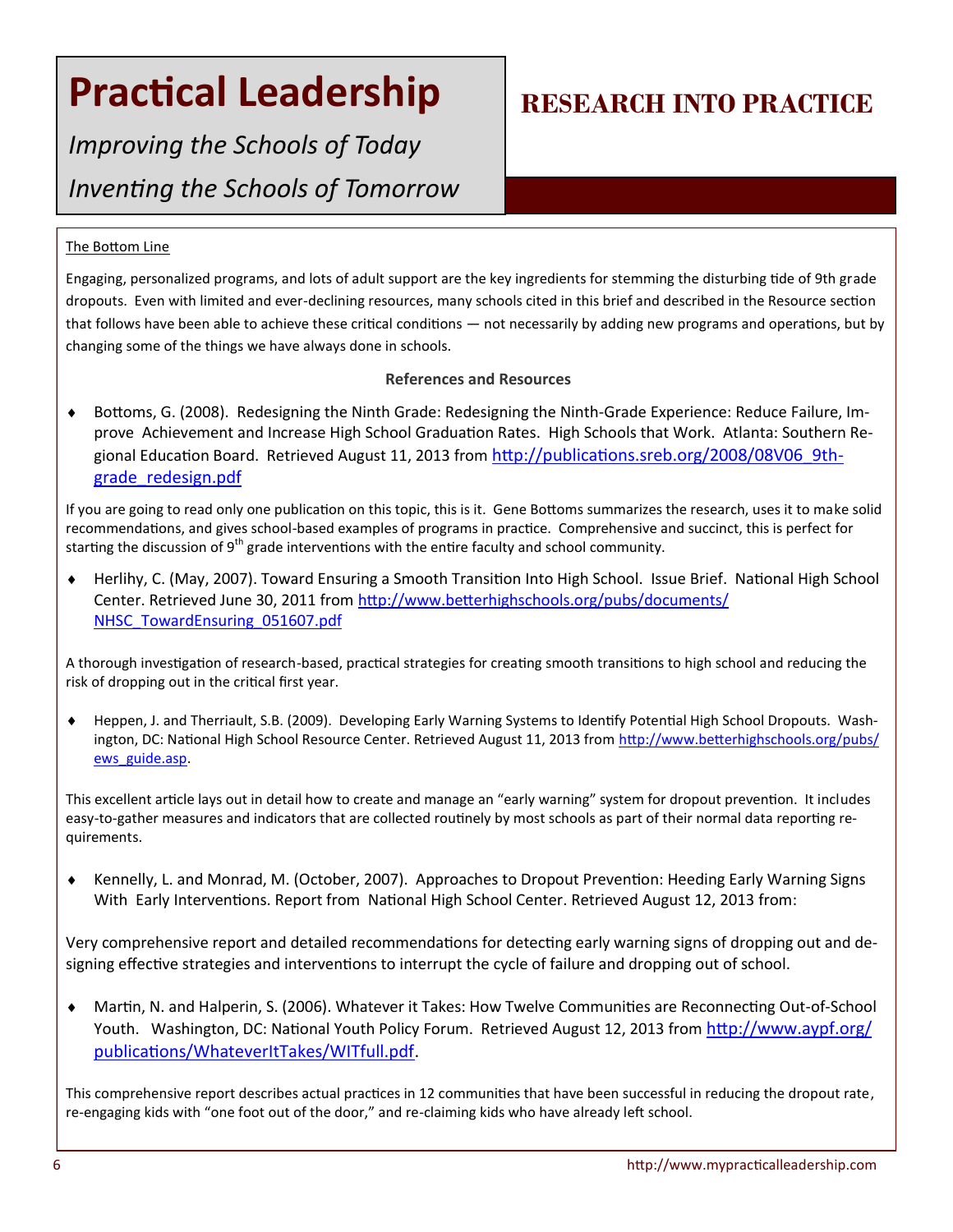## **Practical Leadership | RESEARCH INTO PRACTICE**

*Improving the Schools of Today Inventing the Schools of Tomorrow*

#### The Bottom Line

Engaging, personalized programs, and lots of adult support are the key ingredients for stemming the disturbing tide of 9th grade dropouts. Even with limited and ever-declining resources, many schools cited in this brief and described in the Resource section that follows have been able to achieve these critical conditions — not necessarily by adding new programs and operations, but by changing some of the things we have always done in schools.

#### **References and Resources**

 Bottoms, G. (2008). Redesigning the Ninth Grade: Redesigning the Ninth-Grade Experience: Reduce Failure, Improve Achievement and Increase High School Graduation Rates. High Schools that Work. Atlanta: Southern Regional Education Board. Retrieved August 11, 2013 from [http://publications.sreb.org/2008/08V06\\_9th](http://publications.sreb.org/2008/08V06_9th-grade_redesign.pdf)[grade\\_redesign.pdf](http://publications.sreb.org/2008/08V06_9th-grade_redesign.pdf)

If you are going to read only one publication on this topic, this is it. Gene Bottoms summarizes the research, uses it to make solid recommendations, and gives school-based examples of programs in practice. Comprehensive and succinct, this is perfect for starting the discussion of  $9<sup>th</sup>$  grade interventions with the entire faculty and school community.

 Herlihy, C. (May, 2007). Toward Ensuring a Smooth Transition Into High School. Issue Brief. National High School Center. Retrieved June 30, 2011 from [http://www.betterhighschools.org/pubs/documents/](http://www.betterhighschools.org/pubs/documents/NHSC_TowardEnsuring_051607.pdf) [NHSC\\_TowardEnsuring\\_051607.pdf](http://www.betterhighschools.org/pubs/documents/NHSC_TowardEnsuring_051607.pdf)

A thorough investigation of research-based, practical strategies for creating smooth transitions to high school and reducing the risk of dropping out in the critical first year.

 Heppen, J. and Therriault, S.B. (2009). Developing Early Warning Systems to Identify Potential High School Dropouts. Washington, DC: National High School Resource Center. Retrieved August 11, 2013 from [http://www.betterhighschools.org/pubs/](http://www.betterhighschools.org/pubs/ews_guide.asp) [ews\\_guide.asp.](http://www.betterhighschools.org/pubs/ews_guide.asp)

This excellent article lays out in detail how to create and manage an "early warning" system for dropout prevention. It includes easy-to-gather measures and indicators that are collected routinely by most schools as part of their normal data reporting requirements.

 Kennelly, L. and Monrad, M. (October, 2007). Approaches to Dropout Prevention: Heeding Early Warning Signs With Early Interventions. Report from National High School Center. Retrieved August 12, 2013 from:

Very comprehensive report and detailed recommendations for detecting early warning signs of dropping out and designing effective strategies and interventions to interrupt the cycle of failure and dropping out of school.

 Martin, N. and Halperin, S. (2006). Whatever it Takes: How Twelve Communities are Reconnecting Out-of-School Youth. Washington, DC: National Youth Policy Forum. Retrieved August 12, 2013 from [http://www.aypf.org/](http://www.aypf.org/publications/WhateverItTakes/WITfull.pdf) [publications/WhateverItTakes/WITfull.pdf.](http://www.aypf.org/publications/WhateverItTakes/WITfull.pdf)

This comprehensive report describes actual practices in 12 communities that have been successful in reducing the dropout rate, re-engaging kids with "one foot out of the door," and re-claiming kids who have already left school.